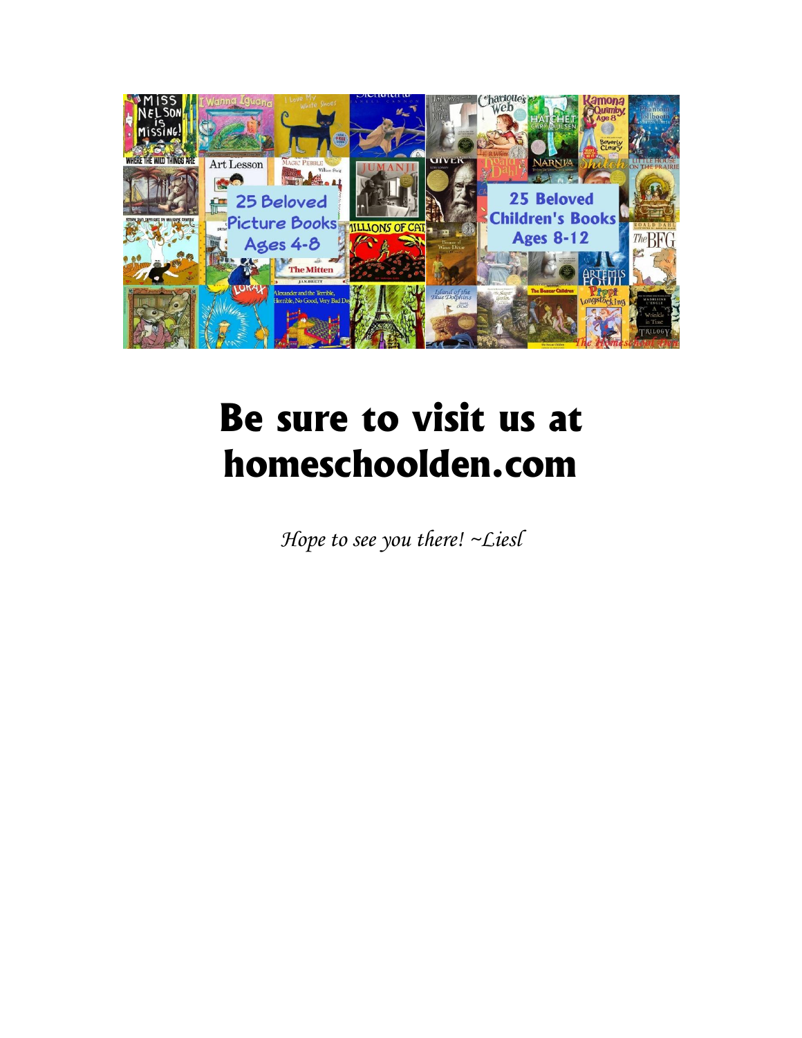

## **Be sure to visit us at homeschoolden.com**

*Hope to see you there! ~Liesl*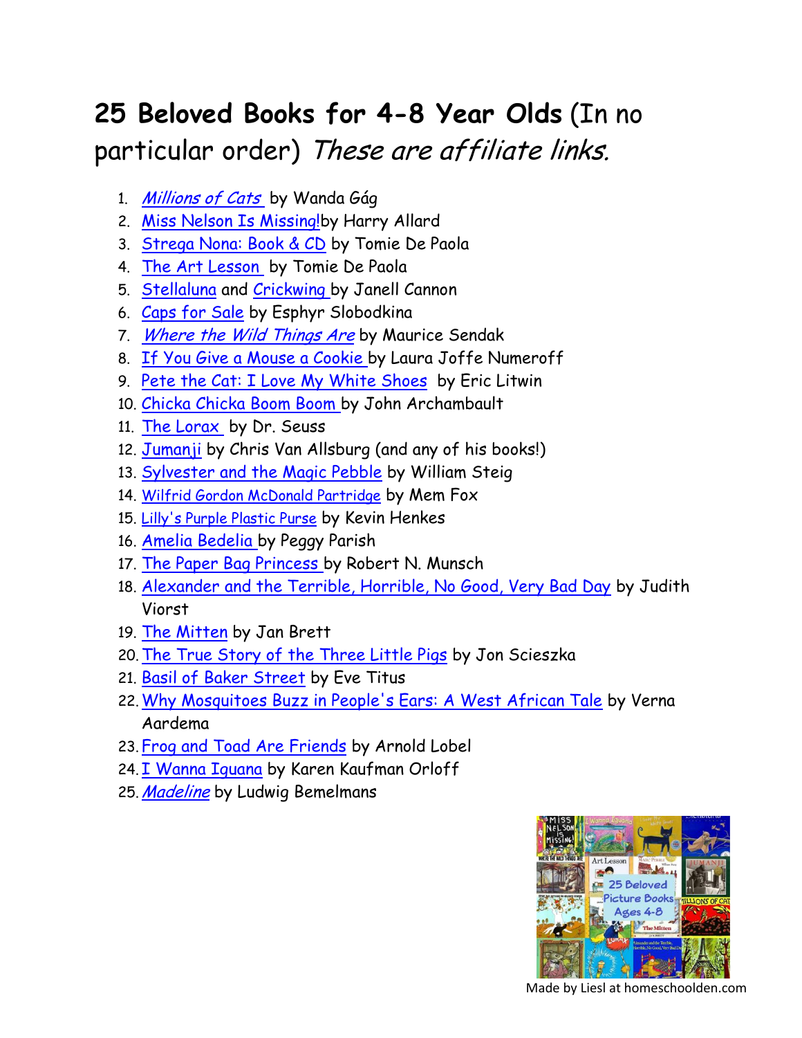## **25 Beloved Books for 4-8 Year Olds** (In no particular order) These are affiliate links.

- 1. [Millions of Cats](http://www.amazon.com/gp/product/0142407089/ref=as_li_tl?ie=UTF8&camp=1789&creative=390957&creativeASIN=0142407089&linkCode=as2&tag=homeden09-20&linkId=PMXS7WCSHY2MPTLR) by Wanda Gág
- 2. [Miss Nelson Is Missing!b](http://www.amazon.com/gp/product/0395401461/ref=as_li_tl?ie=UTF8&camp=1789&creative=390957&creativeASIN=0395401461&linkCode=as2&tag=homeden09-20&linkId=K3WSEQIENRR7OV5C)y Harry Allard
- 3. [Strega Nona: Book & CD](http://www.amazon.com/gp/product/1442433558/ref=as_li_tl?ie=UTF8&camp=1789&creative=390957&creativeASIN=1442433558&linkCode=as2&tag=homeden09-20&linkId=G232K6DU3NTQXV6T) by Tomie De Paola
- 4. [The Art Lesson](http://www.amazon.com/gp/product/0698115724/ref=as_li_tl?ie=UTF8&camp=1789&creative=390957&creativeASIN=0698115724&linkCode=as2&tag=homeden09-20&linkId=LXTBEHPUFS3Z7M4T) by Tomie De Paola
- 5. [Stellaluna](http://www.amazon.com/gp/product/0152802177/ref=as_li_tl?ie=UTF8&camp=1789&creative=390957&creativeASIN=0152802177&linkCode=as2&tag=homeden09-20&linkId=ZKLLAZMRWIMQZNCI) and [Crickwing b](http://www.amazon.com/gp/product/0152050612/ref=as_li_tl?ie=UTF8&camp=1789&creative=390957&creativeASIN=0152050612&linkCode=as2&tag=homeden09-20&linkId=UKWQLHVQUJ6FPMXA)y Janell Cannon
- 6. [Caps for Sale](http://www.amazon.com/gp/product/0064431436/ref=as_li_tl?ie=UTF8&camp=1789&creative=390957&creativeASIN=0064431436&linkCode=as2&tag=homeden09-20&linkId=OQD3ZATSP46G2SBS) by Esphyr Slobodkina
- 7. [Where the Wild Things Are](http://www.amazon.com/gp/product/0064431789/ref=as_li_tl?ie=UTF8&camp=1789&creative=390957&creativeASIN=0064431789&linkCode=as2&tag=homeden09-20&linkId=LFRMKYOL4ZGBIA4L) by Maurice Sendak
- 8. [If You Give a Mouse a Cookie b](http://www.amazon.com/gp/product/0060245867/ref=as_li_tl?ie=UTF8&camp=1789&creative=390957&creativeASIN=0060245867&linkCode=as2&tag=homeden09-20&linkId=SI6OJ7CWTVFG3AYR)y Laura Joffe Numeroff
- 9. [Pete the Cat: I Love My White Shoes](http://www.amazon.com/gp/product/0061906220/ref=as_li_tl?ie=UTF8&camp=1789&creative=390957&creativeASIN=0061906220&linkCode=as2&tag=homeden09-20&linkId=PEHXU4OJVNXSIE22) by Eric Litwin
- 10. [Chicka Chicka Boom Boom b](http://www.amazon.com/gp/product/1442450703/ref=as_li_tl?ie=UTF8&camp=1789&creative=390957&creativeASIN=1442450703&linkCode=as2&tag=homeden09-20&linkId=5AMZVYP566J7VNEF)y John Archambault
- 11. [The Lorax](http://www.amazon.com/gp/product/0394823370/ref=as_li_tl?ie=UTF8&camp=1789&creative=390957&creativeASIN=0394823370&linkCode=as2&tag=homeden09-20&linkId=Y4ZI6MJRSRM2VHBM) by Dr. Seuss
- 12. [Jumanji](http://www.amazon.com/gp/product/0547608381/ref=as_li_tl?ie=UTF8&camp=1789&creative=390957&creativeASIN=0547608381&linkCode=as2&tag=homeden09-20&linkId=RLOY7TWWSC7ZBET3) by Chris Van Allsburg (and any of his books!)
- 13. [Sylvester and the Magic Pebble](http://www.amazon.com/gp/product/1442435607/ref=as_li_tl?ie=UTF8&camp=1789&creative=390957&creativeASIN=1442435607&linkCode=as2&tag=homeden09-20&linkId=664RAJULSMVAZCAD) by William Steig
- 14. [Wilfrid Gordon McDonald Partridge](http://www.amazon.com/gp/product/091629126X/ref=as_li_tl?ie=UTF8&camp=1789&creative=390957&creativeASIN=091629126X&linkCode=as2&tag=homeden09-20&linkId=ESYHJ4H6XRO5TZOG) by Mem Fox
- 15. [Lilly's Purple Plastic Purse](http://www.amazon.com/gp/product/0688128971/ref=as_li_tl?ie=UTF8&camp=1789&creative=390957&creativeASIN=0688128971&linkCode=as2&tag=homeden09-20&linkId=ZSSKHAIUMHYS3LUS) by Kevin Henkes
- 16. [Amelia Bedelia b](http://www.amazon.com/gp/product/0062334204/ref=as_li_tl?ie=UTF8&camp=1789&creative=390957&creativeASIN=0062334204&linkCode=as2&tag=homeden09-20&linkId=VJDNBOJ6E2UQFGX6)y Peggy Parish
- 17. [The Paper Bag Princess b](http://www.amazon.com/gp/product/0920236162/ref=as_li_tl?ie=UTF8&camp=1789&creative=390957&creativeASIN=0920236162&linkCode=as2&tag=homeden09-20&linkId=L3D5AUCJ7L36NUDU)y Robert N. Munsch
- 18. [Alexander and the Terrible, Horrible, No Good, Very Bad Day](http://www.amazon.com/gp/product/0689711735/ref=as_li_tl?ie=UTF8&camp=1789&creative=390957&creativeASIN=0689711735&linkCode=as2&tag=homeden09-20&linkId=2RZTBAENZJXKK5XA) by Judith Viorst
- 19. [The Mitten](http://www.amazon.com/gp/product/0399231099/ref=as_li_tl?ie=UTF8&camp=1789&creative=390957&creativeASIN=0399231099&linkCode=as2&tag=homeden09-20&linkId=GIAKFCKGMCYTVWRO) by Jan Brett
- 20.[The True Story of the Three Little Pigs](http://www.amazon.com/gp/product/0140544518/ref=as_li_tl?ie=UTF8&camp=1789&creative=390957&creativeASIN=0140544518&linkCode=as2&tag=homeden09-20&linkId=NRX3IJKCUNIIVTST) by Jon Scieszka
- 21. [Basil of Baker Street](http://www.amazon.com/gp/product/0671635174/ref=as_li_tl?ie=UTF8&camp=1789&creative=390957&creativeASIN=0671635174&linkCode=as2&tag=homeden09-20&linkId=X2WEOS6SN472IZ75) by Eve Titus
- 22.[Why Mosquitoes Buzz in People's Ears: A West African Tale](http://www.amazon.com/gp/product/0140549056/ref=as_li_tl?ie=UTF8&camp=1789&creative=390957&creativeASIN=0140549056&linkCode=as2&tag=homeden09-20&linkId=BFV7E7GWUNNFA5LH) by Verna Aardema
- 23.[Frog and Toad Are Friends](http://www.amazon.com/gp/product/0064440206/ref=as_li_tl?ie=UTF8&camp=1789&creative=390957&creativeASIN=0064440206&linkCode=as2&tag=homeden09-20&linkId=Y2U52DXWD4M2PD6B) by Arnold Lobel
- 24. [I Wanna Iguana](http://www.amazon.com/gp/product/0399237178/ref=as_li_tl?ie=UTF8&camp=1789&creative=390957&creativeASIN=0399237178&linkCode=as2&tag=homeden09-20&linkId=2H3CHQUHFXMAHYLE) by Karen Kaufman Orloff
- 25. [Madeline](http://homeschoolden.com/wp-admin/Madeline) by Ludwig Bemelmans



Made by Liesl at homeschoolden.com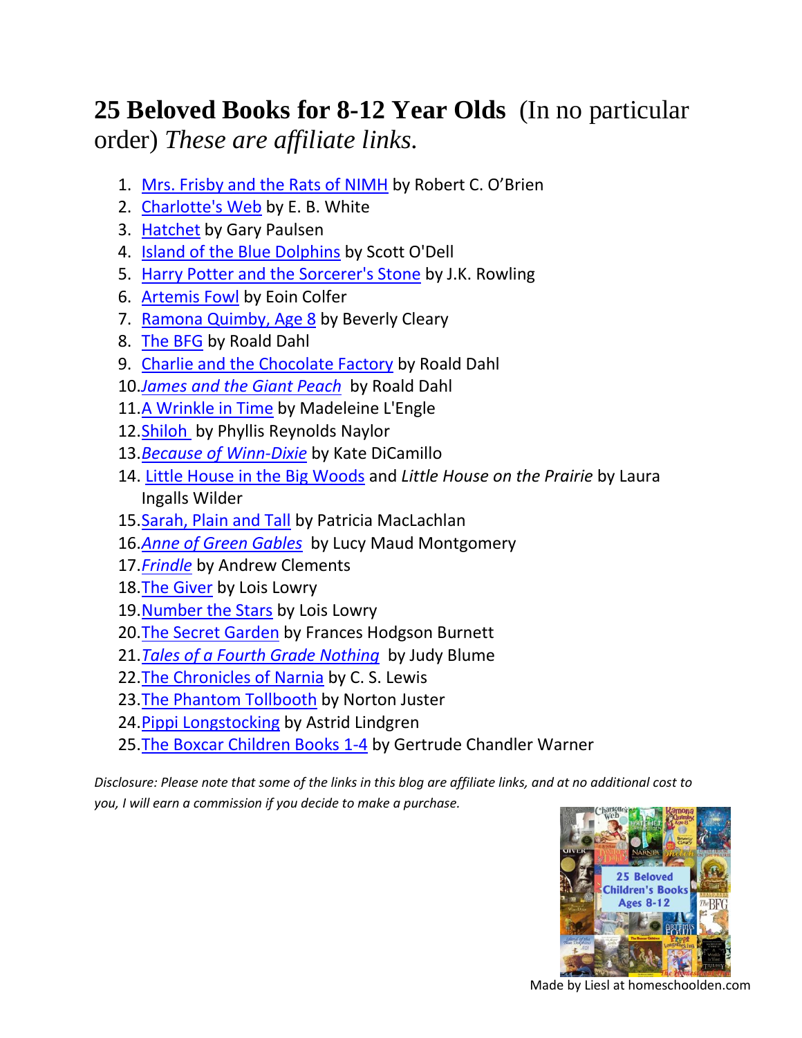## **25 Beloved Books for 8-12 Year Olds** (In no particular order) *These are affiliate links.*

- 1. [Mrs. Frisby and the Rats of NIMH](http://www.amazon.com/gp/product/0689710682/ref=as_li_tl?ie=UTF8&camp=1789&creative=390957&creativeASIN=0689710682&linkCode=as2&tag=homeden09-20&linkId=NFSL3NMT5F2U7PTC) by Robert C. O'Brien
- 2. [Charlotte's Web](http://www.amazon.com/gp/product/0061124958/ref=as_li_tl?ie=UTF8&camp=1789&creative=390957&creativeASIN=0061124958&linkCode=as2&tag=homeden09-20&linkId=LBPP6GBKV2BGRCH6) by E. B. White
- 3. [Hatchet](http://www.amazon.com/gp/product/1416936475/ref=as_li_tl?ie=UTF8&camp=1789&creative=390957&creativeASIN=1416936475&linkCode=as2&tag=homeden09-20&linkId=IIIKA73HR5IYK764) by Gary Paulsen
- 4. [Island of the Blue Dolphins](http://www.amazon.com/gp/product/0547328613/ref=as_li_tl?ie=UTF8&camp=1789&creative=390957&creativeASIN=0547328613&linkCode=as2&tag=homeden09-20&linkId=Y4QKTL6JWKVMHP67) by Scott O'Dell
- 5. [Harry Potter and the Sorcerer's Stone](http://www.amazon.com/gp/product/059035342X/ref=as_li_tl?ie=UTF8&camp=1789&creative=390957&creativeASIN=059035342X&linkCode=as2&tag=homeden09-20&linkId=6QBR7T4MKODFLPU5) by J.K. Rowling
- 6. [Artemis Fowl](http://www.amazon.com/gp/product/1423136810/ref=as_li_tl?ie=UTF8&camp=1789&creative=390957&creativeASIN=1423136810&linkCode=as2&tag=homeden09-20&linkId=5UADKVWQPEZL4F77) by Eoin Colfer
- 7. [Ramona Quimby, Age 8](http://www.amazon.com/gp/product/0380709562/ref=as_li_tl?ie=UTF8&camp=1789&creative=390957&creativeASIN=0380709562&linkCode=as2&tag=homeden09-20&linkId=PQVE4ONTH4ONUOT4) by Beverly Cleary
- 8. [The BFG](http://www.amazon.com/gp/product/0142410381/ref=as_li_tl?ie=UTF8&camp=1789&creative=390957&creativeASIN=0142410381&linkCode=as2&tag=homeden09-20&linkId=I3WI33S5KN2TNOWU) by Roald Dahl
- 9. [Charlie and the Chocolate Factory](http://www.amazon.com/gp/product/0142410314/ref=as_li_tl?ie=UTF8&camp=1789&creative=390957&creativeASIN=0142410314&linkCode=as2&tag=homeden09-20&linkId=Q3UT4XQ3OQPEFID4) by Roald Dahl
- 10.*[James and the Giant Peach](http://www.amazon.com/gp/product/0142410365/ref=as_li_tl?ie=UTF8&camp=1789&creative=390957&creativeASIN=0142410365&linkCode=as2&tag=homeden09-20&linkId=CFSIO6U3APCKS7RU)* by Roald Dahl
- 11[.A Wrinkle in Time](http://www.amazon.com/gp/product/0312367546/ref=as_li_tl?ie=UTF8&camp=1789&creative=390957&creativeASIN=0312367546&linkCode=as2&tag=homeden09-20&linkId=KP24JXEMQYQMKUMN) by Madeleine L'Engle
- 12. Shiloh by Phyllis Reynolds Naylor
- 13.*[Because of Winn-Dixie](http://www.amazon.com/gp/product/0763644323/ref=as_li_tl?ie=UTF8&camp=1789&creative=390957&creativeASIN=0763644323&linkCode=as2&tag=homeden09-20&linkId=GOT7N6OKFB6AMACH)* by Kate DiCamillo
- 14. [Little House in the Big Woods](http://www.amazon.com/gp/product/0060581808/ref=as_li_tl?ie=UTF8&camp=1789&creative=390957&creativeASIN=0060581808&linkCode=as2&tag=homeden09-20&linkId=OHDTDIZ3CKRBEXSS) and *Little House on the Prairie* by Laura Ingalls Wilder
- 15[.Sarah, Plain and Tall](http://www.amazon.com/gp/product/0062399527/ref=as_li_tl?ie=UTF8&camp=1789&creative=390957&creativeASIN=0062399527&linkCode=as2&tag=homeden09-20&linkId=SCRZOOPKCRHTN6GF) by Patricia MacLachlan
- 16.*[Anne of Green Gables](http://www.amazon.com/gp/product/1503214133/ref=as_li_tl?ie=UTF8&camp=1789&creative=390957&creativeASIN=1503214133&linkCode=as2&tag=homeden09-20&linkId=XNHIZ2QBIIGLJVH7)* by Lucy Maud Montgomery
- 17.*[Frindle](http://www.amazon.com/gp/product/0689818769/ref=as_li_tl?ie=UTF8&camp=1789&creative=390957&creativeASIN=0689818769&linkCode=as2&tag=homeden09-20&linkId=USHS54WDBVFEPPJG)* by Andrew Clements
- 18[.The Giver](http://www.amazon.com/gp/product/0544336267/ref=as_li_tl?ie=UTF8&camp=1789&creative=390957&creativeASIN=0544336267&linkCode=as2&tag=homeden09-20&linkId=P23LR6II2INLDRO3) by Lois Lowry
- 19[.Number the Stars](http://www.amazon.com/gp/product/0547577095/ref=as_li_tl?ie=UTF8&camp=1789&creative=390957&creativeASIN=0547577095&linkCode=as2&tag=homeden09-20&linkId=C3FZELNEPRLYGGIE) by Lois Lowry
- 20. The Secret Garden by Frances Hodgson Burnett
- 21.*[Tales of a Fourth Grade Nothing](http://www.amazon.com/gp/product/0142408816/ref=as_li_tl?ie=UTF8&camp=1789&creative=390957&creativeASIN=0142408816&linkCode=as2&tag=homeden09-20&linkId=BPGVTYAHNXPLSMMC)* by Judy Blume
- 22[.The Chronicles of Narnia](http://www.amazon.com/gp/product/0061969052/ref=as_li_tl?ie=UTF8&camp=1789&creative=390957&creativeASIN=0061969052&linkCode=as2&tag=homeden09-20&linkId=KG7NCIBJBTCK6V5U) by C. S. Lewis
- 23. The Phantom Tollbooth by Norton Juster
- 24. Pippi Longstocking by Astrid Lindgren
- 25[.The Boxcar Children Books 1-4](http://www.amazon.com/gp/product/0807508543/ref=as_li_tl?ie=UTF8&camp=1789&creative=390957&creativeASIN=0807508543&linkCode=as2&tag=homeden09-20&linkId=WZY3G2HQMWCUUN2Y) by Gertrude Chandler Warner

*Disclosure: Please note that some of the links in this blog are affiliate links, and at no additional cost to you, I will earn a commission if you decide to make a purchase.*



Made by Liesl at homeschoolden.com